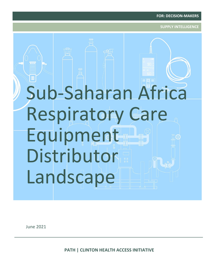**SUPPLY INTELLIGENCE**

# Sub-Saharan Africa Respiratory Care Equipment Distributor Landscape

June 2021

**PATH | CLINTON HEALTH ACCESS INITIATIVE**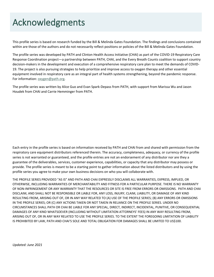### Acknowledgments

This profile series is based on research funded by the Bill & Melinda Gates Foundation. The findings and conclusions contained within are those of the authors and do not necessarily reflect positions or policies of the Bill & Melinda Gates Foundation.

The profile series was developed by PATH and Clinton Health Access Initiative (CHAI) as part of the COVID-19 Respiratory Care Response Coordination project—a partnership between PATH, CHAI, and the Every Breath Counts coalition to support country decision-makers in the development and execution of a comprehensive respiratory care plan to meet the demands of COVID-19. The project is also pursuing strategies to help prioritize and improve access to oxygen therapy and other essential equipment involved in respiratory care as an integral part of health systems strengthening, beyond the pandemic response. For information: [oxygen@path.org.](mailto:oxygen@path.org)

The profile series was written by Alice Guo and Evan Spark-Depass from PATH, with support from Marissa Wu and Jason Houdek from CHAI and Carrie Hemminger from PATH.

Each entry in the profile series is based on information received by PATH and CHAI from and shared with permission from the respiratory care equipment distributors referenced therein. The accuracy, completeness, adequacy, or currency of the profile series is not warranted or guaranteed, and the profile entries are not an endorsement of any distributor nor are they a guarantee of the deliverables, services, customer experience, capabilities, or capacity that any distributor may possess or provide. The profile series is meant to be a starting point to gather information about the listed distributors and by using the profile series you agree to make your own business decisions on who you will collaborate with.

THE PROFILE SERIES PROVIDED "AS IS" AND PATH AND CHAI EXPRESSLY DISCLAIMS ALL WARRANTIES, EXPRESS, IMPLIED, OR OTHERWISE, INCLUDING WARRANTIES OF MERCHANTABILITY AND FITNESS FOR A PARTICULAR PURPOSE. THERE IS NO WARRANTY OF NON-INFRINGEMENT OR ANY WARRANTY THAT THE RESOURCES OR SITE IS FREE FROM ERRORS OR OMISSIONS. PATH AND CHAI DISCLAIM, AND SHALL NOT BE RESPONSIBLE OR LIABLE FOR, ANY LOSS, INJURY, CLAIM, LIABILITY, OR DAMAGE OF ANY KIND RESULTING FROM, ARISING OUT OF, OR IN ANY WAY RELATED TO (A) USE OF THE PROFILE SERIES; (B) ANY ERRORS OR OMISSIONS IN THE PROFILE SERIES; OR (C) ANY ACTIONS TAKEN OR NOT TAKEN IN RELIANCE ON THE PROFILE SERIES. UNDER NO CIRCUMSTANCES SHALL PATH OR CHAI BE LIABLE FOR ANY SPECIAL, DIRECT, INDIRECT, INCIDENTAL, PUNITIVE, OR CONSEQUENTIAL DAMAGES OF ANY KIND WHATSOEVER (INCLUDING WITHOUT LIMITATION ATTORNEYS' FEES) IN ANY WAY RESULTING FROM, ARISING OUT OF, OR IN ANY WAY RELATED TO USE THE PROFILE SERIES. TO THE EXTENT THE FOREGOING LIMITATION OF LIABILITY IS PROHIBITED BY LAW, PATH AND CHAI'S SOLE AND TOTAL OBLIGATION FOR DAMAGES SHALL BE LIMITED TO US\$100.

*Updated: June 2021*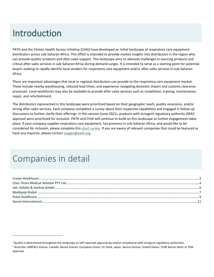### Introduction

PATH and the Clinton Health Access Initiative (CHAI) have developed an initial landscape of respiratory care equipment distributors across sub-Saharan Africa. This effort is intended to provide market insights into distributors in the region who can provide quality<sup>i</sup> products and after-sales support. This landscape aims to alleviate challenges in sourcing products and critical after-sales services in sub-Saharan Africa during demand surges. It is intended to serve as a starting point for potential buyers seeking to rapidly identify local vendors for respiratory care equipment and/or after-sales services in sub-Saharan Africa.

There are important advantages that local or regional distributors can provide to the respiratory care equipment market. These include nearby warehousing, reduced lead times, and experience navigating domestic import and customs clearance processes. Local workforces may also be available to provide after-sales services such as installation, training, maintenance, repair, and refurbishment.

The distributors represented in this landscape were prioritized based on their geographic reach, quality assurance, and/or strong after-sales services. Each company completed a survey about their respective capabilities and engaged in follow-up discussions to further clarify their offerings. In this version (June 2021), products with stringent regulatory authority (SRA)<sup>ii</sup> approval were prioritized for inclusion. PATH and CHAI will continue to build on this landscape as further engagement takes place. If your company supplies respiratory care equipment, has presence in sub-Saharan Africa, and would like to be considered for inclusion, please complete thi[s short survey.](https://chaiem.surveycto.com/collect/distributor_data_collection?caseid=) If you are aware of relevant companies that could be featured or have any inquiries, please contact oxygen@path.org.

### Companies in detail

<sup>&</sup>lt;sup>i</sup> Quality is determined throughout the landscape as self-reported approval by and/or compliance with stringent regulatory authorities. ii Australia: GMPALS license; Canada: device license; European Union: CE mark; Japan: device license; United States: 510K device letter or FDA

approval.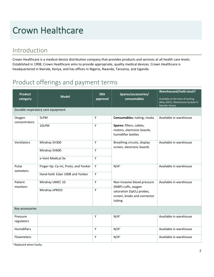### <span id="page-3-0"></span>Crown Healthcare

### Introduction

Crown Healthcare is a medical device distribution company that provides products and services at all health care levels. Established in 1998, Crown Healthcare aims to provide appropriate, quality medical devices. Crown Healthcare is headquartered in Nairobi, Kenya, and has offices in Nigeria, Rwanda, Tanzania, and Uganda.

### Product offerings and payment terms

| <b>Product</b><br>category         | <b>Model</b>                         | <b>SRA</b><br>approval | Spares/accessories/<br>consumables                                           | <b>Warehoused/hold stock?</b><br>Available at the time of writing<br>(May 2021). Warehouse located in<br>Nairobi, Kenya. |  |  |
|------------------------------------|--------------------------------------|------------------------|------------------------------------------------------------------------------|--------------------------------------------------------------------------------------------------------------------------|--|--|
| Durable respiratory care equipment |                                      |                        |                                                                              |                                                                                                                          |  |  |
| Oxygen<br>concentrators            | 5LPM                                 | Y                      | Consumables: tubing, masks                                                   | Available in warehouse                                                                                                   |  |  |
|                                    | 10LPM                                | Y                      | Spares: filters, cables,<br>motors, electronic boards,<br>humidifier bottles |                                                                                                                          |  |  |
| Ventilators                        | Mindray SV300                        | Y                      | Breathing circuits, display<br>screen, electronic boards                     | Available in warehouse                                                                                                   |  |  |
|                                    | Mindray SV600                        | Y                      |                                                                              |                                                                                                                          |  |  |
|                                    | e-Vent Medical 3e                    | Y                      |                                                                              |                                                                                                                          |  |  |
| Pulse<br>oximeters                 | Finger-tip: Ca-mi, Proto, and Yonker | Υ                      | $N/A^a$                                                                      | Available in warehouse                                                                                                   |  |  |
|                                    | Hand-held: Edan 100B and Yonker      | Y                      |                                                                              |                                                                                                                          |  |  |
| Patient<br>monitors                | Mindray UMEC 10                      | Υ                      | Non-invasive blood pressure<br>(NIBP) cuffs, oxygen                          | Available in warehouse                                                                                                   |  |  |
|                                    | Mindray ePM10                        | Υ                      | saturation (SpO <sub>2</sub> ) probes,                                       |                                                                                                                          |  |  |
|                                    |                                      |                        | screen, knobs and connector<br>tubing                                        |                                                                                                                          |  |  |
| Key accessories                    |                                      |                        |                                                                              |                                                                                                                          |  |  |
| Pressure                           |                                      | Υ                      | $N/A^a$                                                                      | Available in warehouse                                                                                                   |  |  |
| regulators                         |                                      |                        |                                                                              |                                                                                                                          |  |  |
| Humidifiers                        |                                      | Y                      | $N/A^a$                                                                      | Available in warehouse                                                                                                   |  |  |
| Flowmeters                         |                                      | Y                      | $N/A^a$                                                                      | Available in warehouse                                                                                                   |  |  |

a Replaced when faulty.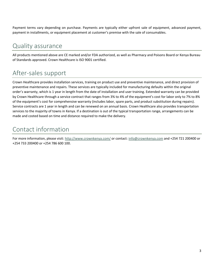Payment terms vary depending on purchase. Payments are typically either upfront sale of equipment, advanced payment, payment in installments, or equipment placement at customer's premise with the sale of consumables.

### Quality assurance

All products mentioned above are CE marked and/or FDA authorized, as well as Pharmacy and Poisons Board or Kenya Bureau of Standards approved. Crown Healthcare is ISO 9001 certified.

### After-sales support

Crown Healthcare provides installation services, training on product use and preventive maintenance, and direct provision of preventive maintenance and repairs. These services are typically included for manufacturing defaults within the original order's warranty, which is 1 year in length from the date of installation and user training. Extended warranty can be provided by Crown Healthcare through a service contract that ranges from 3% to 4% of the equipment's cost for labor only to 7% to 8% of the equipment's cost for comprehensive warranty (includes labor, spare parts, and product substitution during repairs). Service contracts are 1 year in length and can be renewed on an annual basis. Crown Healthcare also provides transportation services to the majority of towns in Kenya. If a destination is out of the typical transportation range, arrangements can be made and costed based on time and distance required to make the delivery.

### Contact information

For more information, please visit[: http://www.crownkenya.com/](http://www.crownkenya.com/) or contact: [info@crownkenya.com](mailto:info@crownkenya.com) and +254 721 200400 or +254 733 200400 or +254 786 600 100.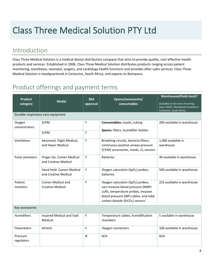### <span id="page-5-0"></span>Class Three Medical Solution PTY Ltd

### Introduction

Class Three Medical Solution is a medical device distribution company that aims to provide quality, cost-effective health products and services. Established in 2006, Class Three Medical Solution distributes products ranging across patient monitoring, anesthesia, neonatal, surgery, and cardiology health functions and provides after-sales services. Class Three Medical Solution is headquartered in Centurion, South Africa, and exports to Botswana.

| <b>Product</b>  | <b>Model</b>                       | <b>SRA</b> | Spares/accessories/                               | <b>Warehoused/hold stock?</b>                                                                     |
|-----------------|------------------------------------|------------|---------------------------------------------------|---------------------------------------------------------------------------------------------------|
| category        |                                    | approval   | consumables                                       | Available at the time of writing<br>(June 2021). Warehouse located in<br>Centurion, South Africa. |
|                 | Durable respiratory care equipment |            |                                                   |                                                                                                   |
| Oxygen          | 3LPM                               | Υ          | Consumables: masks, tubing                        | 200 available in warehouse                                                                        |
| concentrators   |                                    |            | Spares: filters, humidifier bottles               |                                                                                                   |
|                 | 5LPM                               | Υ          |                                                   |                                                                                                   |
| Ventilators     | Aeonmed, Flight Medical,           | Υ          | Breathing circuits, bacteria filters,             | 1,000 available in                                                                                |
|                 | and Heyer Medical                  |            | continuous positive airway pressure               | warehouse                                                                                         |
|                 |                                    |            | (CPAP) accessories, masks, O <sub>2</sub> sensors |                                                                                                   |
| Pulse oximeters | Finger-tip: Comen Medical          | Υ          | <b>Batteries</b>                                  | 40 available in warehouse                                                                         |
|                 | and Creative Medical               |            |                                                   |                                                                                                   |
|                 | Hand-held: Comen Medical           | Υ          | Oxygen saturation (SpO <sub>2</sub> ) probes,     | 500 available in warehouse                                                                        |
|                 | and Creative Medical               |            | batteries                                         |                                                                                                   |
| Patient         | Comen Medical and                  | Y          | Oxygen saturation (SpO <sub>2</sub> ) probes,     | 225 available in warehouse                                                                        |
| monitors        | <b>Creative Medical</b>            |            | non-invasive blood pressure (NIBP)                |                                                                                                   |
|                 |                                    |            | cuffs, temperature probes, invasive               |                                                                                                   |
|                 |                                    |            | blood pressure (IBP) cables, end-tidal            |                                                                                                   |
|                 |                                    |            | carbon dioxide (EtCO <sub>2</sub> ) sensors       |                                                                                                   |
| Key accessories |                                    |            |                                                   |                                                                                                   |
| Humidifiers     | Inspired Medical and Vadi          | Y          | Temperature cables, humidification                | 5 available in warehouse                                                                          |
|                 | Medical                            |            | chambers                                          |                                                                                                   |
| Flowmeters      | Airtech                            | Y          | Oxygen connectors                                 | 100 available in warehouse                                                                        |
| Pressure        |                                    | N          | N/A                                               | N/A                                                                                               |
| regulators      |                                    |            |                                                   |                                                                                                   |
|                 |                                    |            |                                                   |                                                                                                   |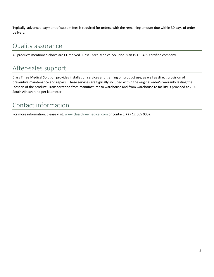Typically, advanced payment of custom fees is required for orders, with the remaining amount due within 30 days of order delivery.

### Quality assurance

All products mentioned above are CE marked. Class Three Medical Solution is an ISO 13485 certified company.

### After-sales support

Class Three Medical Solution provides installation services and training on product use, as well as direct provision of preventive maintenance and repairs. These services are typically included within the original order's warranty lasting the lifespan of the product. Transportation from manufacturer to warehouse and from warehouse to facility is provided at 7.50 South African rand per kilometer.

### Contact information

For more information, please visit[: www.classthreemedical.com](http://www.classthreemedical.com/) or contact: +27 12 665 0002.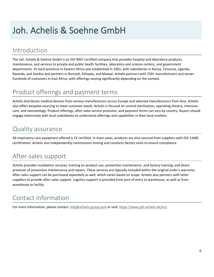### <span id="page-7-0"></span>Joh. Achelis & Soehne GmbH

### Introduction

The Joh. Achelis & Soehne GmbH is an ISO 9001 certified company that provides hospital and laboratory products, maintenance, and services to private and public health facilities, laboratory and science centers, and government departments. Its local presence in Eastern Africa was established in 1961, with subsidiaries in Kenya, Tanzania, Uganda, Rwanda, and Zambia and partners in Burundi, Ethiopia, and Malawi. Achelis partners with 250+ manufacturers and serves hundreds of customers in East Africa, with offerings varying significantly depending on the context.

### Product offerings and payment terms

Achelis distributes medical devices from various manufacturers across Europe and selected manufacturers from Asia. Achelis also offers bespoke sourcing to meet customer needs. Achelis is focused on central sterilization, operating theatre, intensive care, and neonatology. Product offerings, after-sales service provision, and payment terms can vary by country. Buyers should engage extensively with local subsidiaries to understand offerings and capabilities in their local markets.

#### Quality assurance

All respiratory care equipment offered is CE certified. In most cases, products are also sourced from suppliers with ISO 13485 certification. Achelis also independently commissions testing and conducts factory visits to ensure compliance.

### After-sales support

Achelis provides installation services; training on product use, preventive maintenance, and factory training; and direct provision of preventive maintenance and repairs. These services are typically included within the original order's warranty. After-sales support can be purchased separately as well, which varies based on scope. Achelis also partners with other suppliers to provide after-sales support. Logistics support is provided from port of entry to warehouse, as well as from warehouse to facility.

### Contact information

For more information, please contact: [info@achelis-group.com](mailto:info@achelis-group.com) or visit: [https://www.joh-achelis.de/en/.](https://www.joh-achelis.de/en/)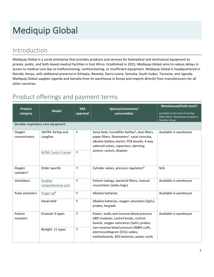## <span id="page-8-0"></span>Mediquip Global

### Introduction

Mediquip Global is a social enterprise that provides products and services for biomedical and mechanical equipment to private, public, and faith-based medical facilities in East Africa. Established in 2015, Mediquip Global aims to reduce delays in access to medical care due to malfunctioning, nonfunctioning, or insufficient equipment. Mediquip Global is headquartered in Nairobi, Kenya, with additional presence in Ethiopia, Rwanda, Sierra Leone, Somalia, South Sudan, Tanzania, and Uganda. Mediquip Global supplies Uganda and Somalia from its warehouse in Kenya and imports directly from manufacturers for all other countries.

| <b>Product</b><br>category       | <b>Model</b>                       | <b>SRA</b><br>approval                                                                                                                                                                                              | Spares/accessories/<br>consumables                                                                                                         | <b>Warehoused/hold stock?</b><br>Available at the time of writing<br>(May 2021). Warehouse located in<br>Nairobi, Kenya. |  |
|----------------------------------|------------------------------------|---------------------------------------------------------------------------------------------------------------------------------------------------------------------------------------------------------------------|--------------------------------------------------------------------------------------------------------------------------------------------|--------------------------------------------------------------------------------------------------------------------------|--|
|                                  | Durable respiratory care equipment |                                                                                                                                                                                                                     |                                                                                                                                            |                                                                                                                          |  |
| Oxygen<br>concentrators          | 10LPM: AirSep and<br>Longfian      | Sieve beds, humidifier bottles <sup>d</sup> , dust filters,<br>Y<br>paper filters, flowmeters <sup>d</sup> , nasal cannulas,<br>alkaline battery alarms, PCB boards, 4-way<br>solenoid valves, capacitors, alarming |                                                                                                                                            | Available in warehouse                                                                                                   |  |
|                                  | 8LPM: Canta V series               | Υ                                                                                                                                                                                                                   | system, castors, displays                                                                                                                  |                                                                                                                          |  |
| Oxygen<br>cylinders <sup>a</sup> | Order specific                     | Y                                                                                                                                                                                                                   | Cylinder valves, pressure regulators <sup>d</sup>                                                                                          | N/A                                                                                                                      |  |
| Ventilators                      | Gradian<br>comprehensive care      | Y                                                                                                                                                                                                                   | Patient tubings, bacterial filters, manual<br>resuscitator (ambu bags)                                                                     | Available in warehouse                                                                                                   |  |
| Pulse oximeters                  | Finger-tipb                        | Y                                                                                                                                                                                                                   | Alkaline batteries                                                                                                                         | Available in warehouse                                                                                                   |  |
|                                  | Hand-held <sup>c</sup>             | Y                                                                                                                                                                                                                   | Alkaline batteries, oxygen saturation (SpO <sub>2</sub> )<br>probes, keypads                                                               |                                                                                                                          |  |
| Patient<br>monitors              | Ecomed: 9 types                    | Y                                                                                                                                                                                                                   | Power, audio and invasive blood pressure<br>(IBP) modules, control knobs, control<br>boards, oxygen saturation (SpO <sub>2</sub> ) probes, | Available in warehouse                                                                                                   |  |
|                                  | Biolight: 11 types                 | Y                                                                                                                                                                                                                   | non-invasive blood pressure (NIBP) cuffs,<br>electrocardiogram (ECG) cables,<br>motherboards, B20 batteries, power cords                   |                                                                                                                          |  |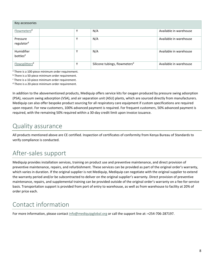| Key accessories                    |   |                                           |                        |
|------------------------------------|---|-------------------------------------------|------------------------|
| Flowmeters <sup>d</sup>            | Υ | N/A                                       | Available in warehouse |
| Pressure<br>regulator <sup>d</sup> | Υ | N/A                                       | Available in warehouse |
| Humidifier<br>bottles <sup>d</sup> | Υ | N/A                                       | Available in warehouse |
| Flowsplitters <sup>d</sup>         | Υ | Silicone tubings, flowmeters <sup>d</sup> | Available in warehouse |

<sup>a</sup> There is a 100-piece minimum order requirement.

**b** There is a 50-piece minimum order requirement.

<sup>c</sup> There is a 10-piece minimum order requirement.

<sup>d</sup> There is a 20-piece minimum order requirement.

In addition to the abovementioned products, Mediquip offers service kits for oxygen produced by pressure swing adsorption (PSA), vacuum swing adsorption (VSA), and air separation unit (ASU) plants, which are sourced directly from manufacturers. Mediquip can also offer bespoke product sourcing for all respiratory care equipment if custom specifications are required upon request. For new customers, 100% advanced payment is required. For frequent customers, 50% advanced payment is required, with the remaining 50% required within a 30-day credit limit upon invoice issuance.

#### Quality assurance

All products mentioned above are CE certified. Inspection of certificates of conformity from Kenya Bureau of Standards to verify compliance is conducted.

### After-sales support

Mediquip provides installation services, training on product use and preventive maintenance, and direct provision of preventive maintenance, repairs, and refurbishment. These services can be provided as part of the original order's warranty, which varies in duration. If the original supplier is not Mediquip, Mediquip can negotiate with the original supplier to extend the warranty period and/or be subcontracted to deliver on the original supplier's warranty. Direct provision of preventive maintenance, repairs, and supplemental training can be provided outside of the original order's warranty on a fee-for-service basis. Transportation support is provided from port of entry to warehouse, as well as from warehouse to facility at 20% of order price each.

### Contact information

For more information, please contac[t info@mediquipglobal.org](mailto:info@mediquipglobal.org) or call the support line at: +254-706-287197.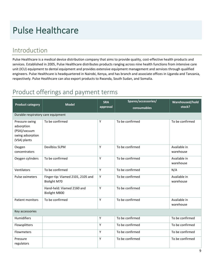### <span id="page-10-0"></span>Pulse Healthcare

### Introduction

Pulse Healthcare is a medical device distribution company that aims to provide quality, cost-effective health products and services. Established in 2005, Pulse Healthcare distributes products ranging across nine health functions from intensive care unit (ICU) equipment to dental equipment and provides extensive equipment management and services through qualified engineers. Pulse Healthcare is headquartered in Nairobi, Kenya, and has branch and associate offices in Uganda and Tanzania, respectively. Pulse Healthcare can also export products to Rwanda, South Sudan, and Somalia.

| <b>Product category</b>                                                          | <b>Model</b>                                             | <b>SRA</b><br>approval | Spares/accessories/<br>consumables | Warehoused/hold<br>stock? |
|----------------------------------------------------------------------------------|----------------------------------------------------------|------------------------|------------------------------------|---------------------------|
| Durable respiratory care equipment                                               |                                                          |                        |                                    |                           |
| Pressure swing<br>adsorption<br>(PSA)/vacuum<br>swing adsorption<br>(VSA) plants | To be confirmed                                          | Y                      | To be confirmed                    | To be confirmed           |
| Oxygen<br>concentrators                                                          | Devilbiss 5LPM                                           | Y                      | To be confirmed                    | Available in<br>warehouse |
| Oxygen cylinders                                                                 | To be confirmed                                          | Y                      | To be confirmed                    | Available in<br>warehouse |
| Ventilators                                                                      | To be confirmed                                          | Y                      | To be confirmed                    | N/A                       |
| Pulse oximeters                                                                  | Finger-tip: Viamed 2101, 2105 and<br><b>Biolight M70</b> | Y                      | To be confirmed                    | Available in<br>warehouse |
|                                                                                  | Hand-held: Viamed 2160 and<br>Biolight M800              | Y                      | To be confirmed                    |                           |
| Patient monitors                                                                 | To be confirmed                                          | Y                      | To be confirmed                    | Available in<br>warehouse |
| Key accessories                                                                  |                                                          |                        |                                    |                           |
| Humidifiers                                                                      |                                                          | Y                      | To be confirmed                    | To be confirmed           |
| Flowsplitters                                                                    |                                                          | Y                      | To be confirmed                    | To be confirmed           |
| <b>Flowmeters</b>                                                                |                                                          | Y                      | To be confirmed                    | To be confirmed           |
| Pressure<br>regulators                                                           |                                                          | Y                      | To be confirmed                    | To be confirmed           |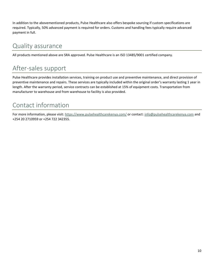In addition to the abovementioned products, Pulse Healthcare also offers bespoke sourcing if custom specifications are required. Typically, 50% advanced payment is required for orders. Customs and handling fees typically require advanced payment in full.

#### Quality assurance

All products mentioned above are SRA approved. Pulse Healthcare is an ISO 13485/9001 certified company.

### After-sales support

Pulse Healthcare provides installation services, training on product use and preventive maintenance, and direct provision of preventive maintenance and repairs. These services are typically included within the original order's warranty lasting 1 year in length. After the warranty period, service contracts can be established at 15% of equipment costs. Transportation from manufacturer to warehouse and from warehouse to facility is also provided.

### Contact information

For more information, please visit[: https://www.pulsehealthcarekenya.com/](https://www.pulsehealthcarekenya.com/) or contact[: info@pulsehealthcarekenya.com](mailto:info@pulsehealthcarekenya.com) and +254 20 2710959 or +254 722 342355.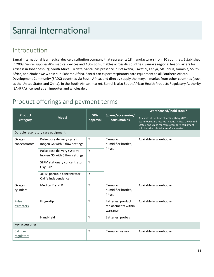### <span id="page-12-0"></span>Sanrai International

### Introduction

Sanrai International is a medical device distribution company that represents 18 manufacturers from 10 countries. Established in 2008, Sanrai supplies 40+ medical devices and 400+ consumables across 46 countries. Sanrai's regional headquarters for Africa is in Johannesburg, South Africa. To date, Sanrai has presence in Botswana, Eswatini, Kenya, Mauritius, Namibia, South Africa, and Zimbabwe within sub-Saharan Africa. Sanrai can export respiratory care equipment to all Southern African Development Community (SADC) countries via South Africa, and directly supply the Kenyan market from other countries (such as the United States and China). In the South African market, Sanrai is also South African Health Products Regulatory Authority (SAHPRA) licensed as an importer and wholesaler.

| <b>Product</b><br>category | <b>Model</b>                                                  | <b>SRA</b><br>approval | Spares/accessories/<br>consumables                    | Warehoused/ hold stock?<br>Available at the time of writing (May 2021).<br>Warehouses are located in South Africa, the United<br>States, and China for respiratory care equipment<br>sold into the sub-Saharan Africa market. |  |
|----------------------------|---------------------------------------------------------------|------------------------|-------------------------------------------------------|-------------------------------------------------------------------------------------------------------------------------------------------------------------------------------------------------------------------------------|--|
|                            | Durable respiratory care equipment                            |                        |                                                       |                                                                                                                                                                                                                               |  |
| Oxygen<br>concentrators    | Pulse dose delivery system:<br>Inogen G4 with 3 flow settings | Y                      | Cannulas,<br>humidifier bottles,<br>filters           | Available in warehouse                                                                                                                                                                                                        |  |
|                            | Pulse dose delivery system:<br>Inogen G5 with 6 flow settings | Y                      |                                                       |                                                                                                                                                                                                                               |  |
|                            | 5LPM stationary concentrator:<br>OxyPure                      | Y                      |                                                       |                                                                                                                                                                                                                               |  |
|                            | 3LPM portable concentrator:<br>Oxlife Independence            | Y                      |                                                       |                                                                                                                                                                                                                               |  |
| Oxygen<br>cylinders        | Medical E and D                                               | Y                      | Cannulas,<br>humidifier bottles,<br>filters           | Available in warehouse                                                                                                                                                                                                        |  |
| Pulse<br>oximeters         | Finger-tip                                                    | Y                      | Batteries, product<br>replacements within<br>warranty | Available in warehouse                                                                                                                                                                                                        |  |
|                            | Hand-held                                                     | Y                      | Batteries, probes                                     |                                                                                                                                                                                                                               |  |
| Key accessories            |                                                               |                        |                                                       |                                                                                                                                                                                                                               |  |
| Cylinder<br>regulators     |                                                               | Y                      | Cannulas, valves                                      | Available in warehouse                                                                                                                                                                                                        |  |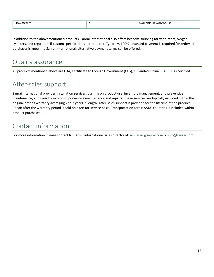| <b>Flowmeters</b> | $\lambda$ | Available in warehouse |
|-------------------|-----------|------------------------|
|                   |           |                        |

In addition to the abovementioned products, Sanrai International also offers bespoke sourcing for ventilators, oxygen cylinders, and regulators if custom specifications are required. Typically, 100% advanced payment is required for orders. If purchaser is known to Sanrai International, alternative payment terms can be offered.

### Quality assurance

All products mentioned above are FDA, Certificate to Foreign Government (CFG), CE, and/or China FDA (CFDA) certified.

### After-sales support

Sanrai International provides installation services; training on product use, inventory management, and preventive maintenance; and direct provision of preventive maintenance and repairs. These services are typically included within the original order's warranty averaging 2 to 3 years in length. After-sales support is provided for the lifetime of the product. Repair after the warranty period is sold on a fee-for-service basis. Transportation across SADC countries is included within product purchases.

### Contact information

For more information, please contact Ian Jarvis, international sales director at[: ian.jarvis@sanrai.com](mailto:ian.jarvis@sanrai.com) o[r info@sanrai.com.](mailto:info@sanrai.com)